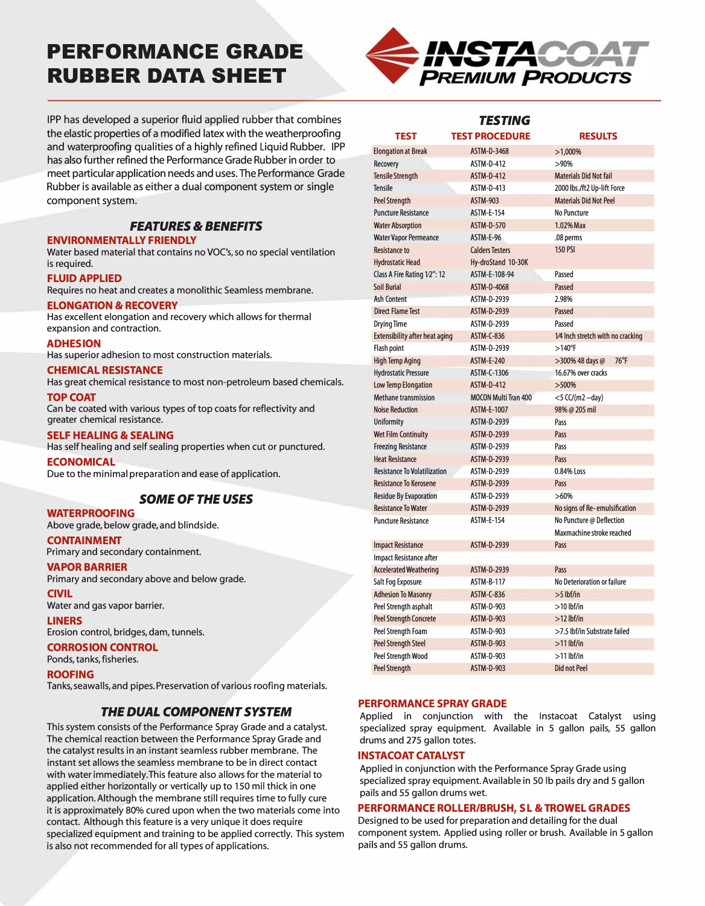# **PERFORMANCE GRADE RUBBER DATA SHEET**



IPP has developed a superior fluid applied rubber that combines the elastic properties of a modified latex with the weatherproofing and waterproofing qualities of a highly refined Liquid Rubber. IPP has also further refined the Performance Grade Rubber in order to meet particular application needs and uses. The Performance Grade Rubber is available as either a dual component system or single component system.

# *FEATURES* **&** *BENEFITS*

#### **ENVIRONMENTALLY FRIENDLY**

Water based material that contains no VOC's, so no special ventilation is required.

#### **FLUID APPLIED**

Requires no heat and creates a monolithic Seamless membrane.

## **ELONGATION & RECOVERY**

Has excellent elongation and recovery which allows for thermal expansion and contraction.

#### **ADHESION**

Has superior adhesion to most construction materials.

#### **CHEMICAL RESISTANCE**

Has great chemical resistance to most non-petroleum based chemicals.

#### **TOP COAT**

Can be coated with various types of top coats for reflectivity and greater chemical resistance.

#### **SELF HEALING & SEALING**

Has self healing and self sealing properties when cut or punctured.

#### **ECONOMICAL**

Due to the minimal preparation and ease of application.

## *SOME OF THE USES*

#### **WATERPROOFING**

Above grade, below grade, and blindside.

## **CONTAINMENT**

Primary and secondary containment.

## **VAPOR BARRIER**

Primary and secondary above and below grade.

## **CIVIL**

Water and gas vapor barrier.

#### **LINERS**

Erosion control, bridges, dam, tunnels.

#### **CORROSION CONTROL**

Ponds, tanks, fisheries.

#### **ROOFING**

Tanks, seawalls, and pipes. Preservation of various roofing materials.

## *THE DUAL COMPONENT SYSTEM*

This system consists of the Performance Spray Grade and a catalyst. The chemical reaction between the Performance Spray Grade and the catalyst results in an instant seamless rubber membrane. The instant set allows the seamless membrane to be in direct contact with water immediately. This feature also allows for the material to applied either horizontally or vertically up to 150 mil thick in one application. Although the membrane still requires time to fully cure it is approximately 80% cured upon when the two materials come into contact. Although this feature is a very unique it does require specialized equipment and training to be applied correctly. This system is also not recommended for all types of applications.

| <b>TESTING</b>                        |                             |                                   |
|---------------------------------------|-----------------------------|-----------------------------------|
| <b>TEST</b>                           | <b>TEST PROCEDURE</b>       | <b>RESULTS</b>                    |
| <b>Elongation at Break</b>            | <b>ASTM-D-3468</b>          | $>1,000\%$                        |
| Recovery                              | <b>ASTM-D-412</b>           | >90%                              |
| <b>Tensile Strength</b>               | <b>ASTM-D-412</b>           | <b>Materials Did Not fail</b>     |
| <b>Tensile</b>                        | ASTM-D-413                  | 2000 lbs./ft2 Up-lift Force       |
| <b>Peel Strenath</b>                  | <b>ASTM-903</b>             | <b>Materials Did Not Peel</b>     |
| <b>Puncture Resistance</b>            | <b>ASTM-E-154</b>           | No Puncture                       |
| <b>Water Absorption</b>               | <b>ASTM-D-570</b>           | 1.02% Max                         |
| <b>Water Vapor Permeance</b>          | ASTM-E-96                   | .08 perms                         |
| <b>Resistance to</b>                  | <b>Calders Testers</b>      | <b>150 PSI</b>                    |
| <b>Hydrostatic Head</b>               | Hy-droStand 10-30K          |                                   |
| Class A Fire Rating 1/2": 12          | ASTM-E-108-94               | Passed                            |
| <b>Soil Burial</b>                    | ASTM-D-4068                 | <b>Passed</b>                     |
| Ash Content                           | <b>ASTM-D-2939</b>          | 2.98%                             |
| <b>Direct Flame Test</b>              | <b>ASTM-D-2939</b>          | Passed                            |
| <b>Drying Time</b>                    | ASTM-D-2939                 | Passed                            |
| <b>Extensibility after heat aging</b> | <b>ASTM-C-836</b>           | 1/4 Inch stretch with no cracking |
| <b>Flash point</b>                    | ASTM-D-2939                 | $>140^{\circ}$ F                  |
| <b>High Temp Aging</b>                | <b>ASTM-E-240</b>           | 76°F<br>>300% 48 days @           |
| <b>Hydrostatic Pressure</b>           | ASTM-C-1306                 | 16.67% over cracks                |
| Low Temp Elongation                   | <b>ASTM-D-412</b>           | >500%                             |
| <b>Methane transmission</b>           | <b>MOCON Multi Tran 400</b> | $<$ 5 CC/(m2 -day)                |
| <b>Noise Reduction</b>                | <b>ASTM-E-1007</b>          | 98% @ 205 mil                     |
| <b>Uniformity</b>                     | <b>ASTM-D-2939</b>          | Pass                              |
| <b>Wet Film Continuity</b>            | <b>ASTM-D-2939</b>          | Pass                              |
| <b>Freezing Resistance</b>            | <b>ASTM-D-2939</b>          | Pass                              |
| <b>Heat Resistance</b>                | <b>ASTM-D-2939</b>          | Pass                              |
| <b>Resistance To Volatilization</b>   | ASTM-D-2939                 | 0.84% Loss                        |
| <b>Resistance To Kerosene</b>         | <b>ASTM-D-2939</b>          | Pass                              |
| <b>Residue By Evaporation</b>         | ASTM-D-2939                 | >60%                              |
| <b>Resistance To Water</b>            | ASTM-D-2939                 | No signs of Re-emulsification     |
| <b>Puncture Resistance</b>            | <b>ASTM-F-154</b>           | No Puncture @ Deflection          |
|                                       |                             | Maxmachine stroke reached         |
| <b>Impact Resistance</b>              | ASTM-D-2939                 | Pass                              |
| Impact Resistance after               |                             |                                   |
| <b>Accelerated Weathering</b>         | ASTM-D-2939                 | Pass                              |
| Salt Fog Exposure                     | <b>ASTM-B-117</b>           | No Deterioration or failure       |
| <b>Adhesion To Masonry</b>            | <b>ASTM-C-836</b>           | $>5$ lbf/in                       |
|                                       | ASTM-D-903                  | $>10$ lbf/in                      |
| Peel Strength asphalt                 | <b>ASTM-D-903</b>           |                                   |
| <b>Peel Strength Concrete</b>         |                             | $>12$ lhf/in                      |
| Peel Strength Foam                    | ASTM-D-903                  | >7.5 lbf/in Substrate failed      |
| <b>Peel Strength Steel</b>            | <b>ASTM-D-903</b>           | $>11$ lbf/in                      |
| <b>Peel Strenath Wood</b>             | ASTM-D-903                  | $>11$ lbf/in                      |
| <b>Peel Strength</b>                  | <b>ASTM-D-903</b>           | <b>Did not Peel</b>               |

## **PERFORMANCE SPRAYGRADE**

Applied in conjunction with the Instacoat Catalyst using specialized spray equipment. Available in 5 gallon pails, 55 gallon drums and 275 gallon totes.

#### **INSTACOAT CATALYST**

Applied in conjunction with the Performance Spray Grade using specialized spray equipment. Available in 50 lb pails dry and 5 gallon pails and 55 gallon drums wet.

## **PERFORMANCE ROLLER/BRUSH, SL &TROWEL GRADES**

Designed to be used for preparation and detailing for the dual component system. Applied using roller or brush. Available in 5 gallon pails and 55 gallon drums.